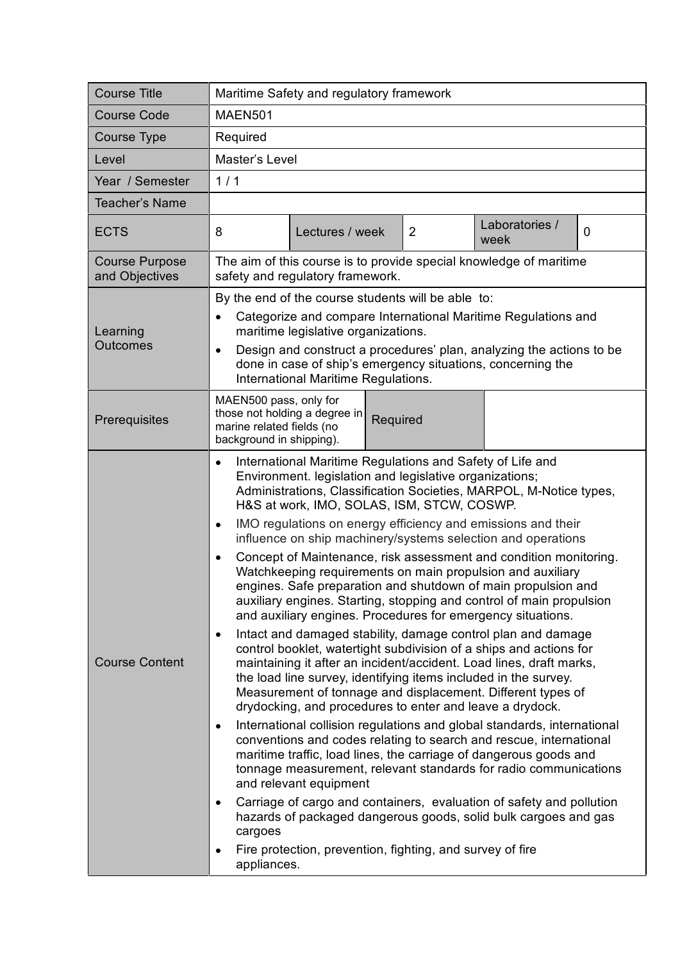| <b>Course Title</b>                     | Maritime Safety and regulatory framework                                                                                                                                                                                                                                                                                                                                                                                                                                                                                                                                                                                                                                                                                                                                                                                                                                                                                                                                                                                                                                                                                                                                                                                                                                                                                                                                                                                                                                                                                                                                                                                                                                                                                                                                |
|-----------------------------------------|-------------------------------------------------------------------------------------------------------------------------------------------------------------------------------------------------------------------------------------------------------------------------------------------------------------------------------------------------------------------------------------------------------------------------------------------------------------------------------------------------------------------------------------------------------------------------------------------------------------------------------------------------------------------------------------------------------------------------------------------------------------------------------------------------------------------------------------------------------------------------------------------------------------------------------------------------------------------------------------------------------------------------------------------------------------------------------------------------------------------------------------------------------------------------------------------------------------------------------------------------------------------------------------------------------------------------------------------------------------------------------------------------------------------------------------------------------------------------------------------------------------------------------------------------------------------------------------------------------------------------------------------------------------------------------------------------------------------------------------------------------------------------|
| <b>Course Code</b>                      | <b>MAEN501</b>                                                                                                                                                                                                                                                                                                                                                                                                                                                                                                                                                                                                                                                                                                                                                                                                                                                                                                                                                                                                                                                                                                                                                                                                                                                                                                                                                                                                                                                                                                                                                                                                                                                                                                                                                          |
| Course Type                             | Required                                                                                                                                                                                                                                                                                                                                                                                                                                                                                                                                                                                                                                                                                                                                                                                                                                                                                                                                                                                                                                                                                                                                                                                                                                                                                                                                                                                                                                                                                                                                                                                                                                                                                                                                                                |
| Level                                   | Master's Level                                                                                                                                                                                                                                                                                                                                                                                                                                                                                                                                                                                                                                                                                                                                                                                                                                                                                                                                                                                                                                                                                                                                                                                                                                                                                                                                                                                                                                                                                                                                                                                                                                                                                                                                                          |
| Year / Semester                         | 1/1                                                                                                                                                                                                                                                                                                                                                                                                                                                                                                                                                                                                                                                                                                                                                                                                                                                                                                                                                                                                                                                                                                                                                                                                                                                                                                                                                                                                                                                                                                                                                                                                                                                                                                                                                                     |
| <b>Teacher's Name</b>                   |                                                                                                                                                                                                                                                                                                                                                                                                                                                                                                                                                                                                                                                                                                                                                                                                                                                                                                                                                                                                                                                                                                                                                                                                                                                                                                                                                                                                                                                                                                                                                                                                                                                                                                                                                                         |
| <b>ECTS</b>                             | Laboratories /<br>Lectures / week<br>2<br>$\mathbf 0$<br>8<br>week                                                                                                                                                                                                                                                                                                                                                                                                                                                                                                                                                                                                                                                                                                                                                                                                                                                                                                                                                                                                                                                                                                                                                                                                                                                                                                                                                                                                                                                                                                                                                                                                                                                                                                      |
| <b>Course Purpose</b><br>and Objectives | The aim of this course is to provide special knowledge of maritime<br>safety and regulatory framework.                                                                                                                                                                                                                                                                                                                                                                                                                                                                                                                                                                                                                                                                                                                                                                                                                                                                                                                                                                                                                                                                                                                                                                                                                                                                                                                                                                                                                                                                                                                                                                                                                                                                  |
| Learning<br><b>Outcomes</b>             | By the end of the course students will be able to:<br>Categorize and compare International Maritime Regulations and<br>$\bullet$<br>maritime legislative organizations.<br>Design and construct a procedures' plan, analyzing the actions to be<br>$\bullet$<br>done in case of ship's emergency situations, concerning the<br>International Maritime Regulations.                                                                                                                                                                                                                                                                                                                                                                                                                                                                                                                                                                                                                                                                                                                                                                                                                                                                                                                                                                                                                                                                                                                                                                                                                                                                                                                                                                                                      |
| Prerequisites                           | MAEN500 pass, only for<br>those not holding a degree in<br>Required<br>marine related fields (no<br>background in shipping).                                                                                                                                                                                                                                                                                                                                                                                                                                                                                                                                                                                                                                                                                                                                                                                                                                                                                                                                                                                                                                                                                                                                                                                                                                                                                                                                                                                                                                                                                                                                                                                                                                            |
| <b>Course Content</b>                   | International Maritime Regulations and Safety of Life and<br>$\bullet$<br>Environment. legislation and legislative organizations;<br>Administrations, Classification Societies, MARPOL, M-Notice types,<br>H&S at work, IMO, SOLAS, ISM, STCW, COSWP.<br>IMO regulations on energy efficiency and emissions and their<br>$\bullet$<br>influence on ship machinery/systems selection and operations<br>Concept of Maintenance, risk assessment and condition monitoring.<br>$\bullet$<br>Watchkeeping requirements on main propulsion and auxiliary<br>engines. Safe preparation and shutdown of main propulsion and<br>auxiliary engines. Starting, stopping and control of main propulsion<br>and auxiliary engines. Procedures for emergency situations.<br>Intact and damaged stability, damage control plan and damage<br>$\bullet$<br>control booklet, watertight subdivision of a ships and actions for<br>maintaining it after an incident/accident. Load lines, draft marks,<br>the load line survey, identifying items included in the survey.<br>Measurement of tonnage and displacement. Different types of<br>drydocking, and procedures to enter and leave a drydock.<br>International collision regulations and global standards, international<br>$\bullet$<br>conventions and codes relating to search and rescue, international<br>maritime traffic, load lines, the carriage of dangerous goods and<br>tonnage measurement, relevant standards for radio communications<br>and relevant equipment<br>Carriage of cargo and containers, evaluation of safety and pollution<br>$\bullet$<br>hazards of packaged dangerous goods, solid bulk cargoes and gas<br>cargoes<br>Fire protection, prevention, fighting, and survey of fire<br>٠<br>appliances. |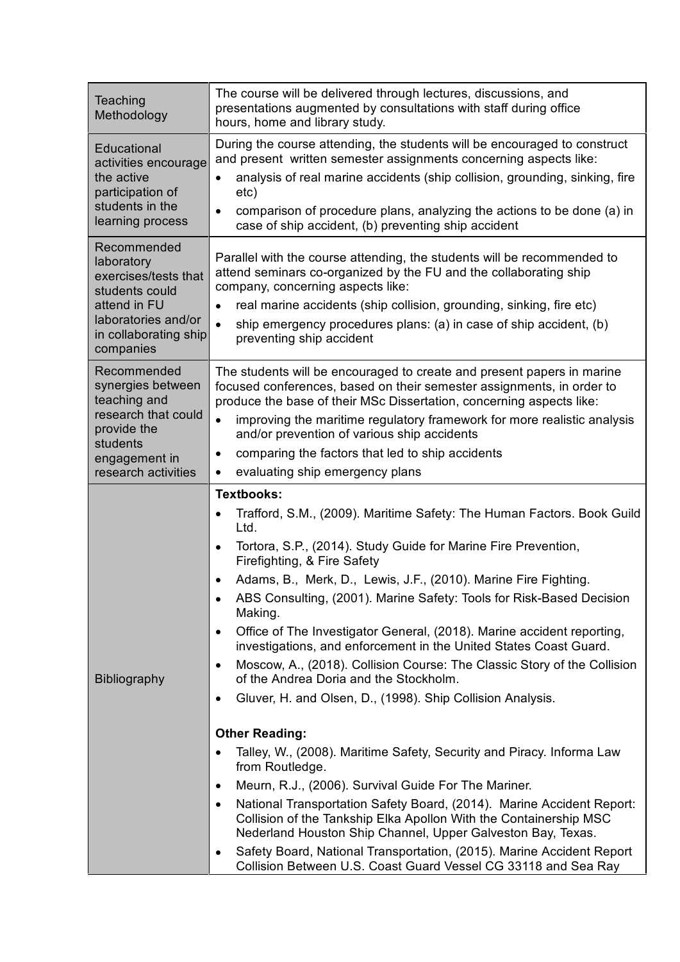| Teaching<br>Methodology                                                                                                                          | The course will be delivered through lectures, discussions, and<br>presentations augmented by consultations with staff during office<br>hours, home and library study.                                                                                                                                                                                                                                                                                                                                                                                                                                                                                                                                                                                                                                                                                                                                                                                                                                                                                                                                                                                                                                                                                                                                                                |
|--------------------------------------------------------------------------------------------------------------------------------------------------|---------------------------------------------------------------------------------------------------------------------------------------------------------------------------------------------------------------------------------------------------------------------------------------------------------------------------------------------------------------------------------------------------------------------------------------------------------------------------------------------------------------------------------------------------------------------------------------------------------------------------------------------------------------------------------------------------------------------------------------------------------------------------------------------------------------------------------------------------------------------------------------------------------------------------------------------------------------------------------------------------------------------------------------------------------------------------------------------------------------------------------------------------------------------------------------------------------------------------------------------------------------------------------------------------------------------------------------|
| Educational<br>activities encourage<br>the active<br>participation of<br>students in the<br>learning process                                     | During the course attending, the students will be encouraged to construct<br>and present written semester assignments concerning aspects like:<br>analysis of real marine accidents (ship collision, grounding, sinking, fire<br>etc)<br>comparison of procedure plans, analyzing the actions to be done (a) in<br>case of ship accident, (b) preventing ship accident                                                                                                                                                                                                                                                                                                                                                                                                                                                                                                                                                                                                                                                                                                                                                                                                                                                                                                                                                                |
| Recommended<br>laboratory<br>exercises/tests that<br>students could<br>attend in FU<br>laboratories and/or<br>in collaborating ship<br>companies | Parallel with the course attending, the students will be recommended to<br>attend seminars co-organized by the FU and the collaborating ship<br>company, concerning aspects like:<br>real marine accidents (ship collision, grounding, sinking, fire etc)<br>$\bullet$<br>ship emergency procedures plans: (a) in case of ship accident, (b)<br>$\bullet$<br>preventing ship accident                                                                                                                                                                                                                                                                                                                                                                                                                                                                                                                                                                                                                                                                                                                                                                                                                                                                                                                                                 |
| Recommended<br>synergies between<br>teaching and<br>research that could<br>provide the<br>students<br>engagement in<br>research activities       | The students will be encouraged to create and present papers in marine<br>focused conferences, based on their semester assignments, in order to<br>produce the base of their MSc Dissertation, concerning aspects like:<br>improving the maritime regulatory framework for more realistic analysis<br>$\bullet$<br>and/or prevention of various ship accidents<br>comparing the factors that led to ship accidents<br>$\bullet$<br>evaluating ship emergency plans<br>٠                                                                                                                                                                                                                                                                                                                                                                                                                                                                                                                                                                                                                                                                                                                                                                                                                                                               |
| <b>Bibliography</b>                                                                                                                              | Textbooks:<br>Trafford, S.M., (2009). Maritime Safety: The Human Factors. Book Guild<br>$\bullet$<br>Ltd.<br>Tortora, S.P., (2014). Study Guide for Marine Fire Prevention,<br>$\bullet$<br>Firefighting, & Fire Safety<br>Adams, B., Merk, D., Lewis, J.F., (2010). Marine Fire Fighting.<br>$\bullet$<br>ABS Consulting, (2001). Marine Safety: Tools for Risk-Based Decision<br>$\bullet$<br>Making.<br>Office of The Investigator General, (2018). Marine accident reporting,<br>$\bullet$<br>investigations, and enforcement in the United States Coast Guard.<br>Moscow, A., (2018). Collision Course: The Classic Story of the Collision<br>٠<br>of the Andrea Doria and the Stockholm.<br>Gluver, H. and Olsen, D., (1998). Ship Collision Analysis.<br>٠<br><b>Other Reading:</b><br>Talley, W., (2008). Maritime Safety, Security and Piracy. Informa Law<br>from Routledge.<br>Meurn, R.J., (2006). Survival Guide For The Mariner.<br>٠<br>National Transportation Safety Board, (2014). Marine Accident Report:<br>$\bullet$<br>Collision of the Tankship Elka Apollon With the Containership MSC<br>Nederland Houston Ship Channel, Upper Galveston Bay, Texas.<br>Safety Board, National Transportation, (2015). Marine Accident Report<br>$\bullet$<br>Collision Between U.S. Coast Guard Vessel CG 33118 and Sea Ray |